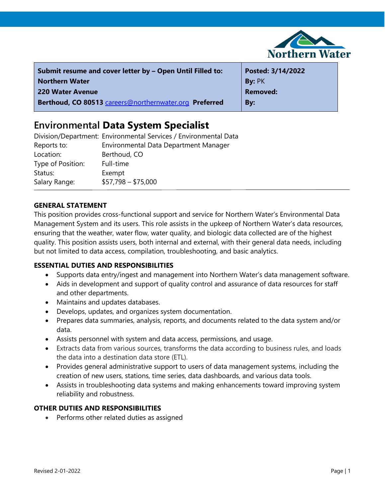

| Submit resume and cover letter by - Open Until Filled to: | Posted: 3/14/2022 |
|-----------------------------------------------------------|-------------------|
| <b>Northern Water</b>                                     | By: PK            |
| 220 Water Avenue                                          | <b>Removed:</b>   |
| Berthoud, CO 80513 careers@northernwater.org Preferred    | By:               |

# **Environmental Data System Specialist**

|                   | Division/Department: Environmental Services / Environmental Data |
|-------------------|------------------------------------------------------------------|
| Reports to:       | Environmental Data Department Manager                            |
| Location:         | Berthoud, CO                                                     |
| Type of Position: | Full-time                                                        |
| Status:           | Exempt                                                           |
| Salary Range:     | $$57,798 - $75,000$                                              |

# **GENERAL STATEMENT**

This position provides cross-functional support and service for Northern Water's Environmental Data Management System and its users. This role assists in the upkeep of Northern Water's data resources, ensuring that the weather, water flow, water quality, and biologic data collected are of the highest quality. This position assists users, both internal and external, with their general data needs, including but not limited to data access, compilation, troubleshooting, and basic analytics.

# **ESSENTIAL DUTIES AND RESPONSIBILITIES**

- Supports data entry/ingest and management into Northern Water's data management software.
- Aids in development and support of quality control and assurance of data resources for staff and other departments.
- Maintains and updates databases.
- Develops, updates, and organizes system documentation.
- Prepares data summaries, analysis, reports, and documents related to the data system and/or data.
- Assists personnel with system and data access, permissions, and usage.
- Extracts data from various sources, transforms the data according to business rules, and loads the data into a destination data store (ETL).
- Provides general administrative support to users of data management systems, including the creation of new users, stations, time series, data dashboards, and various data tools.
- Assists in troubleshooting data systems and making enhancements toward improving system reliability and robustness.

# **OTHER DUTIES AND RESPONSIBILITIES**

• Performs other related duties as assigned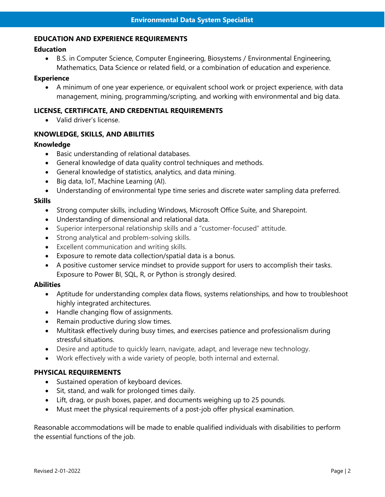#### **EDUCATION AND EXPERIENCE REQUIREMENTS**

## **Education**

• B.S. in Computer Science, Computer Engineering, Biosystems / Environmental Engineering, Mathematics, Data Science or related field, or a combination of education and experience.

#### **Experience**

• A minimum of one year experience, or equivalent school work or project experience, with data management, mining, programming/scripting, and working with environmental and big data.

## **LICENSE, CERTIFICATE, AND CREDENTIAL REQUIREMENTS**

• Valid driver's license.

# **KNOWLEDGE, SKILLS, AND ABILITIES**

#### **Knowledge**

- Basic understanding of relational databases.
- General knowledge of data quality control techniques and methods.
- General knowledge of statistics, analytics, and data mining.
- Big data, IoT, Machine Learning (AI).
- Understanding of environmental type time series and discrete water sampling data preferred.

#### **Skills**

- Strong computer skills, including Windows, Microsoft Office Suite, and Sharepoint.
- Understanding of dimensional and relational data.
- Superior interpersonal relationship skills and a "customer-focused" attitude.
- Strong analytical and problem-solving skills.
- Excellent communication and writing skills.
- Exposure to remote data collection/spatial data is a bonus.
- A positive customer service mindset to provide support for users to accomplish their tasks. Exposure to Power BI, SQL, R, or Python is strongly desired.

#### **Abilities**

- Aptitude for understanding complex data flows, systems relationships, and how to troubleshoot highly integrated architectures.
- Handle changing flow of assignments.
- Remain productive during slow times.
- Multitask effectively during busy times, and exercises patience and professionalism during stressful situations.
- Desire and aptitude to quickly learn, navigate, adapt, and leverage new technology.
- Work effectively with a wide variety of people, both internal and external.

# **PHYSICAL REQUIREMENTS**

- Sustained operation of keyboard devices.
- Sit, stand, and walk for prolonged times daily.
- Lift, drag, or push boxes, paper, and documents weighing up to 25 pounds.
- Must meet the physical requirements of a post-job offer physical examination.

Reasonable accommodations will be made to enable qualified individuals with disabilities to perform the essential functions of the job.